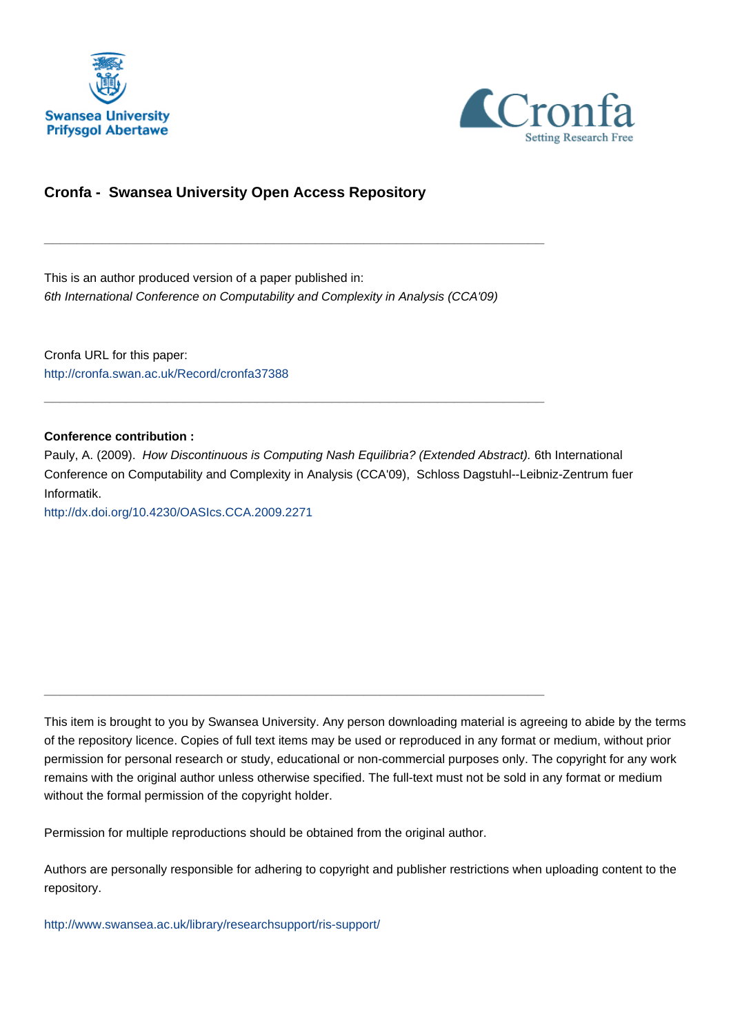



# **Cronfa - Swansea University Open Access Repository**

This is an author produced version of a paper published in: 6th International Conference on Computability and Complexity in Analysis (CCA'09)

\_\_\_\_\_\_\_\_\_\_\_\_\_\_\_\_\_\_\_\_\_\_\_\_\_\_\_\_\_\_\_\_\_\_\_\_\_\_\_\_\_\_\_\_\_\_\_\_\_\_\_\_\_\_\_\_\_\_\_\_\_

\_\_\_\_\_\_\_\_\_\_\_\_\_\_\_\_\_\_\_\_\_\_\_\_\_\_\_\_\_\_\_\_\_\_\_\_\_\_\_\_\_\_\_\_\_\_\_\_\_\_\_\_\_\_\_\_\_\_\_\_\_

Cronfa URL for this paper: <http://cronfa.swan.ac.uk/Record/cronfa37388>

### **Conference contribution :**

Pauly, A. (2009). How Discontinuous is Computing Nash Equilibria? (Extended Abstract). 6th International Conference on Computability and Complexity in Analysis (CCA'09), Schloss Dagstuhl--Leibniz-Zentrum fuer Informatik.

<http://dx.doi.org/10.4230/OASIcs.CCA.2009.2271>

This item is brought to you by Swansea University. Any person downloading material is agreeing to abide by the terms of the repository licence. Copies of full text items may be used or reproduced in any format or medium, without prior permission for personal research or study, educational or non-commercial purposes only. The copyright for any work remains with the original author unless otherwise specified. The full-text must not be sold in any format or medium without the formal permission of the copyright holder.

Permission for multiple reproductions should be obtained from the original author.

\_\_\_\_\_\_\_\_\_\_\_\_\_\_\_\_\_\_\_\_\_\_\_\_\_\_\_\_\_\_\_\_\_\_\_\_\_\_\_\_\_\_\_\_\_\_\_\_\_\_\_\_\_\_\_\_\_\_\_\_\_

Authors are personally responsible for adhering to copyright and publisher restrictions when uploading content to the repository.

[http://www.swansea.ac.uk/library/researchsupport/ris-support/](http://www.swansea.ac.uk/library/researchsupport/ris-support/ )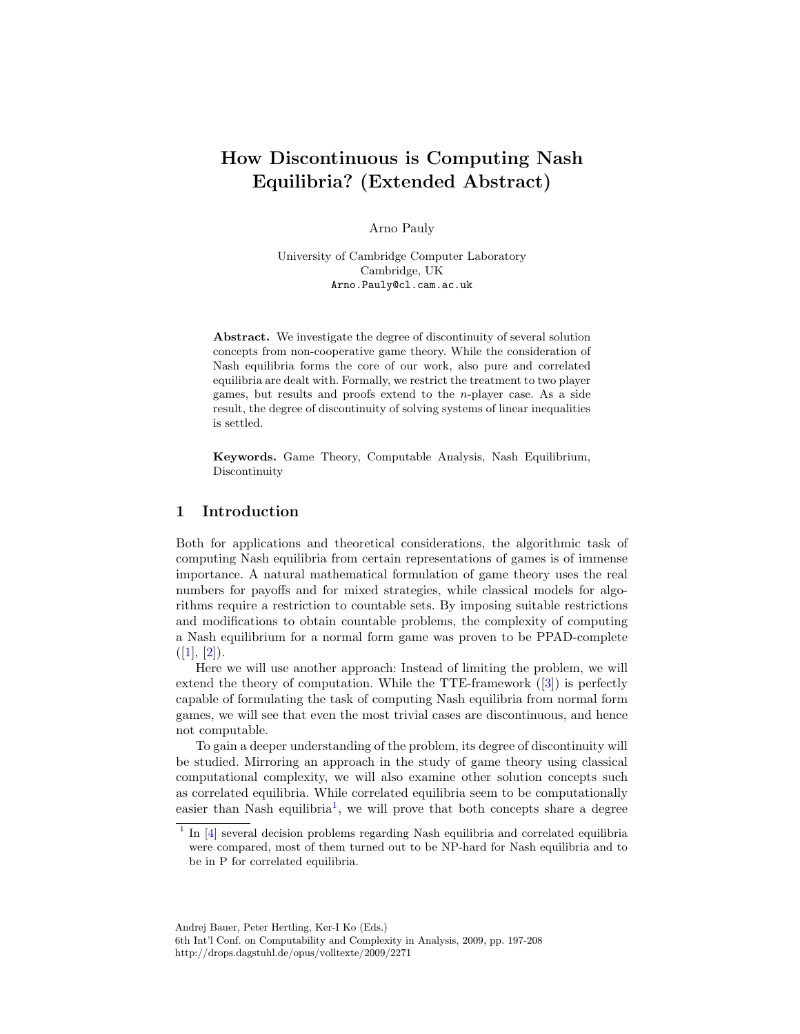# How Discontinuous is Computing Nash Equilibria? (Extended Abstract)

Arno Pauly

University of Cambridge Computer Laboratory Cambridge, UK Arno.Pauly@cl.cam.ac.uk

Abstract. We investigate the degree of discontinuity of several solution concepts from non-cooperative game theory. While the consideration of Nash equilibria forms the core of our work, also pure and correlated equilibria are dealt with. Formally, we restrict the treatment to two player games, but results and proofs extend to the  $n$ -player case. As a side result, the degree of discontinuity of solving systems of linear inequalities is settled.

Keywords. Game Theory, Computable Analysis, Nash Equilibrium, Discontinuity

### 1 Introduction

Both for applications and theoretical considerations, the algorithmic task of computing Nash equilibria from certain representations of games is of immense importance. A natural mathematical formulation of game theory uses the real numbers for payoffs and for mixed strategies, while classical models for algorithms require a restriction to countable sets. By imposing suitable restrictions and modifications to obtain countable problems, the complexity of computing a Nash equilibrium for a normal form game was proven to be PPAD-complete  $([1], [2]).$ 

Here we will use another approach: Instead of limiting the problem, we will extend the theory of computation. While the TTE-framework ([3]) is perfectly capable of formulating the task of computing Nash equilibria from normal form games, we will see that even the most trivial cases are discontinuous, and hence not computable.

To gain a deeper understanding of the problem, its degree of discontinuity will be studied. Mirroring an approach in the study of game theory using classical computational complexity, we will also examine other solution concepts such as correlated equilibria. While correlated equilibria seem to be computationally easier than Nash equilibria<sup>1</sup>, we will prove that both concepts share a degree

<sup>&</sup>lt;sup>1</sup> In [4] several decision problems regarding Nash equilibria and correlated equilibria were compared, most of them turned out to be NP-hard for Nash equilibria and to be in P for correlated equilibria.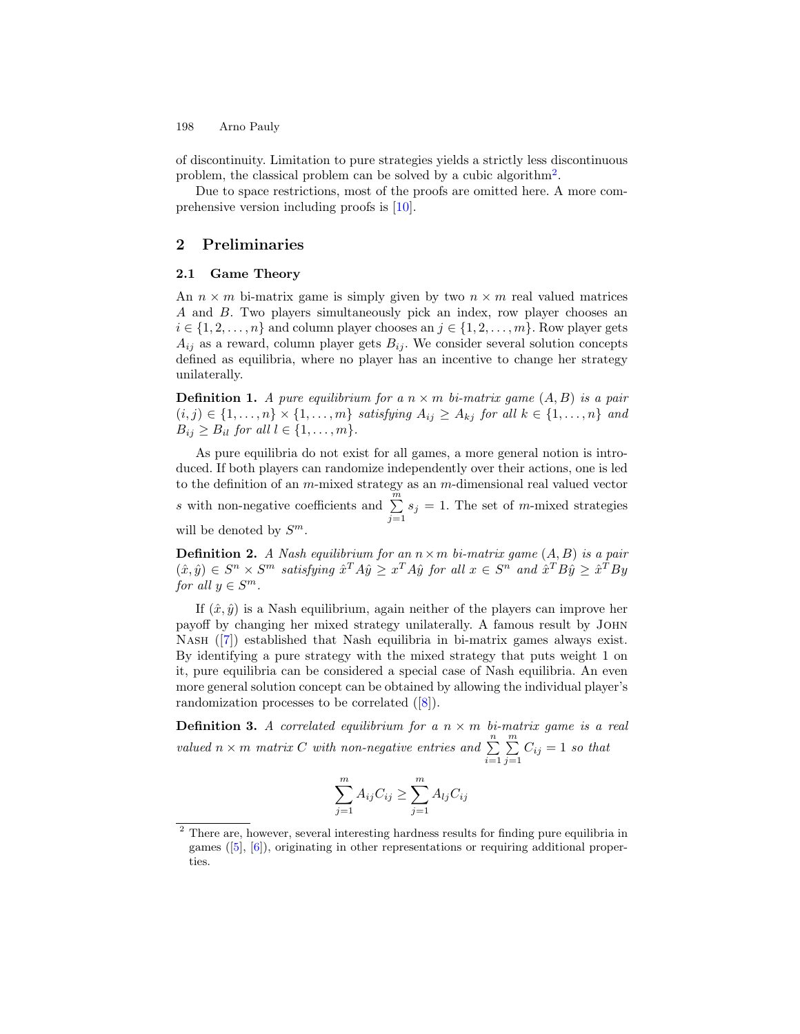of discontinuity. Limitation to pure strategies yields a strictly less discontinuous problem, the classical problem can be solved by a cubic algorithm<sup>2</sup>.

Due to space restrictions, most of the proofs are omitted here. A more comprehensive version including proofs is [10].

### 2 Preliminaries

#### 2.1 Game Theory

An  $n \times m$  bi-matrix game is simply given by two  $n \times m$  real valued matrices A and B. Two players simultaneously pick an index, row player chooses an  $i \in \{1, 2, \ldots, n\}$  and column player chooses an  $j \in \{1, 2, \ldots, m\}$ . Row player gets  $A_{ij}$  as a reward, column player gets  $B_{ij}$ . We consider several solution concepts defined as equilibria, where no player has an incentive to change her strategy unilaterally.

**Definition 1.** A pure equilibrium for a  $n \times m$  bi-matrix game  $(A, B)$  is a pair  $(i, j) \in \{1, \ldots, n\} \times \{1, \ldots, m\}$  satisfying  $A_{ij} \geq A_{kj}$  for all  $k \in \{1, \ldots, n\}$  and  $B_{ij} \geq B_{il}$  for all  $l \in \{1, \ldots, m\}.$ 

As pure equilibria do not exist for all games, a more general notion is introduced. If both players can randomize independently over their actions, one is led to the definition of an  $m$ -mixed strategy as an  $m$ -dimensional real valued vector s with non-negative coefficients and  $\sum_{n=1}^{\infty}$  $\sum_{j=1} s_j = 1$ . The set of m-mixed strategies will be denoted by  $S^m$ .

**Definition 2.** A Nash equilibrium for an  $n \times m$  bi-matrix game  $(A, B)$  is a pair  $(x, \hat{y}) \in S^n \times S^m$  satisfying  $\hat{x}^T A \hat{y} \geq x^T A \hat{y}$  for all  $x \in S^n$  and  $\hat{x}^T B \hat{y} \geq \hat{x}^T B y$ for all  $y \in S^m$ .

If  $(\hat{x}, \hat{y})$  is a Nash equilibrium, again neither of the players can improve her payoff by changing her mixed strategy unilaterally. A famous result by John Nash ([7]) established that Nash equilibria in bi-matrix games always exist. By identifying a pure strategy with the mixed strategy that puts weight 1 on it, pure equilibria can be considered a special case of Nash equilibria. An even more general solution concept can be obtained by allowing the individual player's randomization processes to be correlated ([8]).

**Definition 3.** A correlated equilibrium for a  $n \times m$  bi-matrix game is a real valued  $n \times m$  matrix C with non-negative entries and  $\sum_{n=1}^n$  $i=1$  $\sum_{i=1}^{m}$  $\sum_{j=1} C_{ij} = 1$  so that

$$
\sum_{j=1}^{m} A_{ij} C_{ij} \ge \sum_{j=1}^{m} A_{lj} C_{ij}
$$

 $2$  There are, however, several interesting hardness results for finding pure equilibria in games ([5], [6]), originating in other representations or requiring additional properties.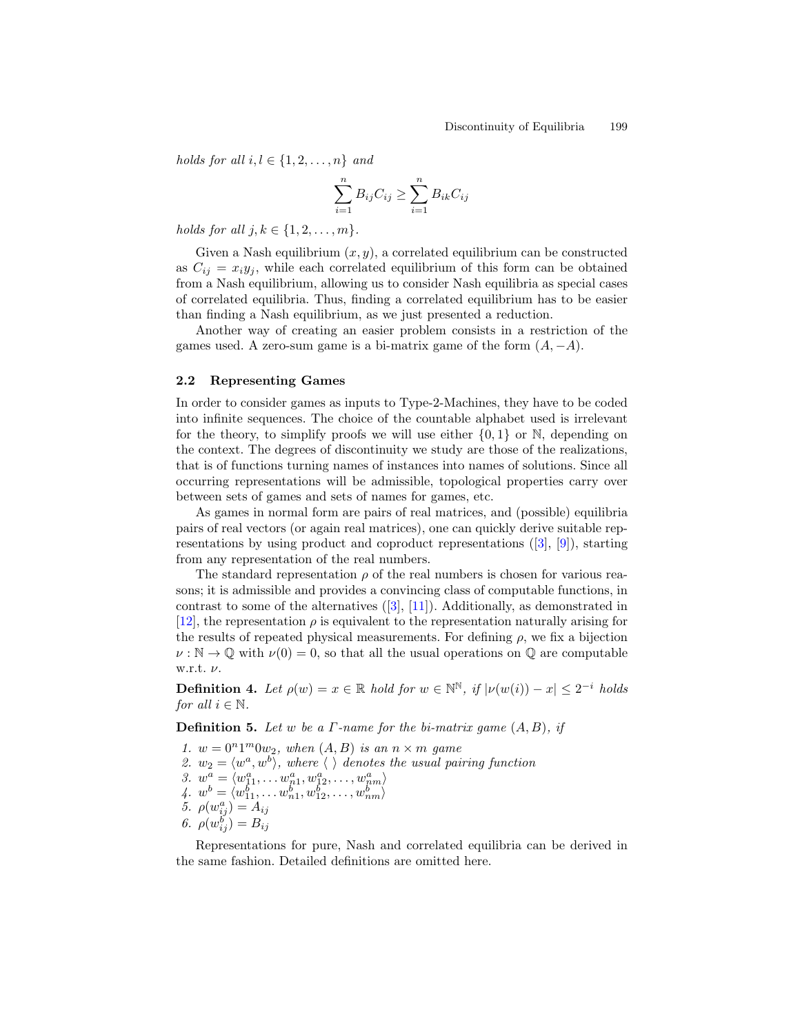holds for all  $i, l \in \{1, 2, \ldots, n\}$  and

$$
\sum_{i=1}^{n} B_{ij} C_{ij} \ge \sum_{i=1}^{n} B_{ik} C_{ij}
$$

holds for all  $j, k \in \{1, 2, \ldots, m\}$ .

Given a Nash equilibrium  $(x, y)$ , a correlated equilibrium can be constructed as  $C_{ij} = x_i y_j$ , while each correlated equilibrium of this form can be obtained from a Nash equilibrium, allowing us to consider Nash equilibria as special cases of correlated equilibria. Thus, finding a correlated equilibrium has to be easier than finding a Nash equilibrium, as we just presented a reduction.

Another way of creating an easier problem consists in a restriction of the games used. A zero-sum game is a bi-matrix game of the form  $(A, -A)$ .

#### 2.2 Representing Games

In order to consider games as inputs to Type-2-Machines, they have to be coded into infinite sequences. The choice of the countable alphabet used is irrelevant for the theory, to simplify proofs we will use either  $\{0,1\}$  or N, depending on the context. The degrees of discontinuity we study are those of the realizations, that is of functions turning names of instances into names of solutions. Since all occurring representations will be admissible, topological properties carry over between sets of games and sets of names for games, etc.

As games in normal form are pairs of real matrices, and (possible) equilibria pairs of real vectors (or again real matrices), one can quickly derive suitable representations by using product and coproduct representations  $([3], [9])$ , starting from any representation of the real numbers.

The standard representation  $\rho$  of the real numbers is chosen for various reasons; it is admissible and provides a convincing class of computable functions, in contrast to some of the alternatives  $([3], [11])$ . Additionally, as demonstrated in [12], the representation  $\rho$  is equivalent to the representation naturally arising for the results of repeated physical measurements. For defining  $\rho$ , we fix a bijection  $\nu : \mathbb{N} \to \mathbb{Q}$  with  $\nu(0) = 0$ , so that all the usual operations on  $\mathbb{Q}$  are computable w.r.t. ν.

**Definition 4.** Let  $\rho(w) = x \in \mathbb{R}$  hold for  $w \in \mathbb{N}^{\mathbb{N}}$ , if  $|\nu(w(i)) - x| \leq 2^{-i}$  holds for all  $i \in \mathbb{N}$ .

**Definition 5.** Let w be a  $\Gamma$ -name for the bi-matrix game  $(A, B)$ , if

- 1.  $w = 0^n 1^m 0 w_2$ , when  $(A, B)$  is an  $n \times m$  game
- 2.  $w_2 = \langle w^a, w^b \rangle$ , where  $\langle \rangle$  denotes the usual pairing function
- 3.  $w^a = \langle w_{11}^a, \dots w_{n1}^a, w_{12}^a, \dots, w_{nm}^a \rangle$
- 4.  $w^b = \langle w_{11}^b, \ldots w_{n1}^b, w_{12}^b, \ldots, w_{nm}^b \rangle$
- 5.  $\rho(w_{ij}^a) = A_{ij}$
- 6.  $\rho(w_{ij}^{\bar{b}}) = B_{ij}$

Representations for pure, Nash and correlated equilibria can be derived in the same fashion. Detailed definitions are omitted here.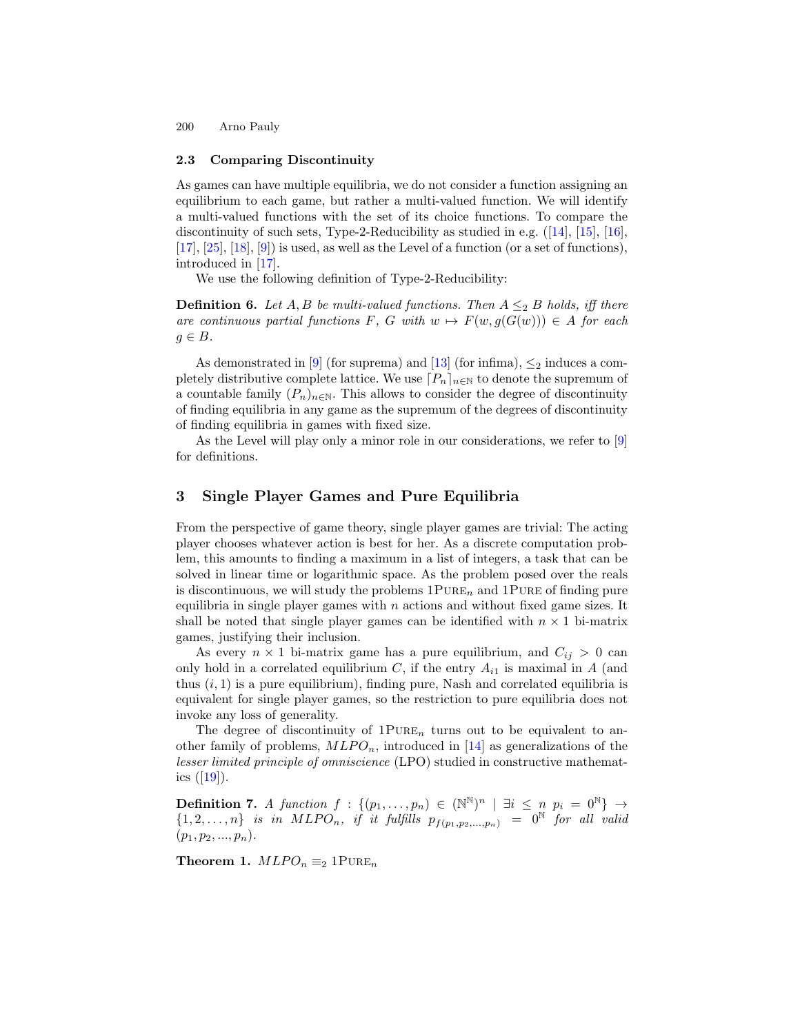#### 2.3 Comparing Discontinuity

As games can have multiple equilibria, we do not consider a function assigning an equilibrium to each game, but rather a multi-valued function. We will identify a multi-valued functions with the set of its choice functions. To compare the discontinuity of such sets, Type-2-Reducibility as studied in e.g. ([14], [15], [16],  $[17], [25], [18], [9]$  is used, as well as the Level of a function (or a set of functions), introduced in [17].

We use the following definition of Type-2-Reducibility:

**Definition 6.** Let A, B be multi-valued functions. Then  $A \leq_2 B$  holds, iff there are continuous partial functions F, G with  $w \mapsto F(w, g(G(w))) \in A$  for each  $g \in B$ .

As demonstrated in [9] (for suprema) and [13] (for infima),  $\leq_2$  induces a completely distributive complete lattice. We use  $[P_n]_{n\in\mathbb{N}}$  to denote the supremum of a countable family  $(P_n)_{n\in\mathbb{N}}$ . This allows to consider the degree of discontinuity of finding equilibria in any game as the supremum of the degrees of discontinuity of finding equilibria in games with fixed size.

As the Level will play only a minor role in our considerations, we refer to [9] for definitions.

### 3 Single Player Games and Pure Equilibria

From the perspective of game theory, single player games are trivial: The acting player chooses whatever action is best for her. As a discrete computation problem, this amounts to finding a maximum in a list of integers, a task that can be solved in linear time or logarithmic space. As the problem posed over the reals is discontinuous, we will study the problems  $1PURE<sub>n</sub>$  and  $1PURE$  of finding pure equilibria in single player games with  $n$  actions and without fixed game sizes. It shall be noted that single player games can be identified with  $n \times 1$  bi-matrix games, justifying their inclusion.

As every  $n \times 1$  bi-matrix game has a pure equilibrium, and  $C_{ij} > 0$  can only hold in a correlated equilibrium C, if the entry  $A_{i1}$  is maximal in A (and thus  $(i, 1)$  is a pure equilibrium), finding pure, Nash and correlated equilibria is equivalent for single player games, so the restriction to pure equilibria does not invoke any loss of generality.

The degree of discontinuity of  $1$ PURE<sub>n</sub> turns out to be equivalent to another family of problems,  $MLPO_n$ , introduced in [14] as generalizations of the lesser limited principle of omniscience (LPO) studied in constructive mathematics  $([19])$ .

**Definition 7.** A function  $f : \{(p_1, \ldots, p_n) \in (\mathbb{N}^{\mathbb{N}})^n \mid \exists i \leq n \, p_i = 0^{\mathbb{N}}\} \rightarrow$  $\{1, 2, \ldots, n\}$  is in  $MLPO_n$ , if it fulfills  $p_{f(p_1, p_2, \ldots, p_n)} = 0^{\mathbb{N}}$  for all valid  $(p_1, p_2, ..., p_n).$ 

Theorem 1.  $MLPO_n \equiv_2 1PURE_n$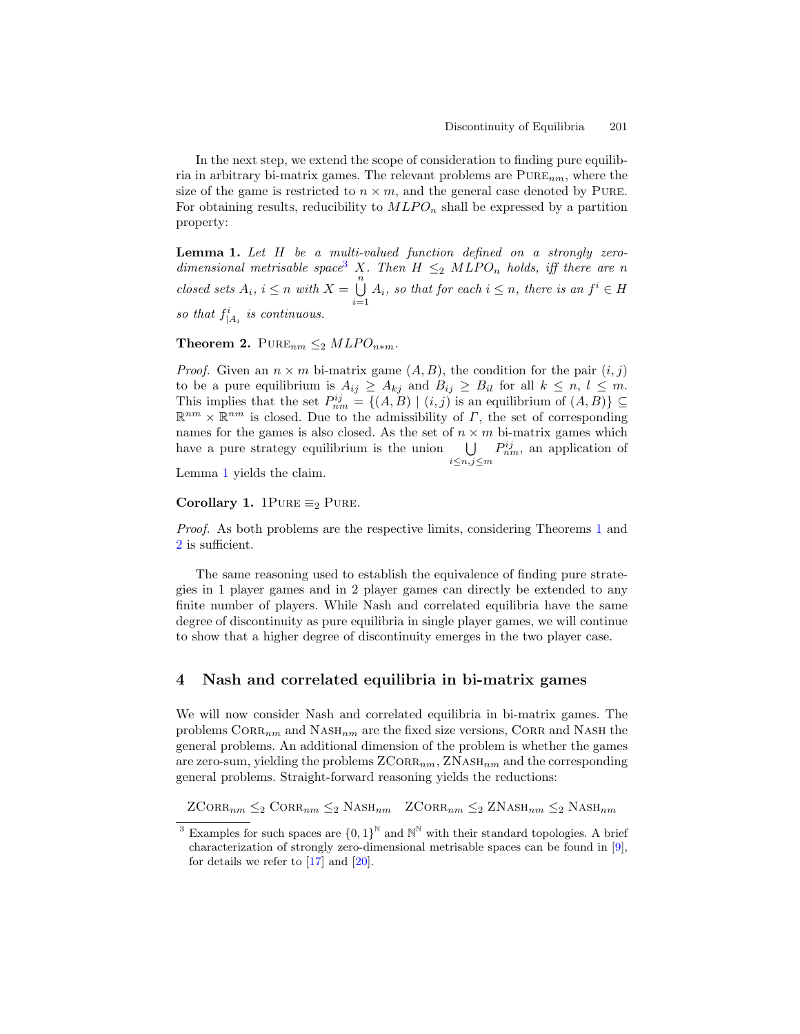In the next step, we extend the scope of consideration to finding pure equilibria in arbitrary bi-matrix games. The relevant problems are  $PURE_{nm}$ , where the size of the game is restricted to  $n \times m$ , and the general case denoted by PURE. For obtaining results, reducibility to  $MLPO_n$  shall be expressed by a partition property:

**Lemma 1.** Let  $H$  be a multi-valued function defined on a strongly zerodimensional metrisable space<sup>3</sup> X. Then  $H \leq_2 MLPO_n$  holds, iff there are n closed sets  $A_i$ ,  $i \leq n$  with  $X = \bigcup_{i=1}^{n} A_i$  $\bigcup_{i=1} A_i$ , so that for each  $i \leq n$ , there is an  $f^i \in H$ so that  $f^i_{|A_i}$  is continuous.

Theorem 2.  $PURE_{nm} \leq_2 MLPO_{n*m}$ .

*Proof.* Given an  $n \times m$  bi-matrix game  $(A, B)$ , the condition for the pair  $(i, j)$ to be a pure equilibrium is  $A_{ij} \geq A_{kj}$  and  $B_{ij} \geq B_{il}$  for all  $k \leq n, l \leq m$ . This implies that the set  $P_{nm}^{ij} = \{(A, B) | (i, j)$  is an equilibrium of  $(A, B) \} \subseteq$  $\mathbb{R}^{nm} \times \mathbb{R}^{nm}$  is closed. Due to the admissibility of  $\Gamma$ , the set of corresponding names for the games is also closed. As the set of  $n \times m$  bi-matrix games which have a pure strategy equilibrium is the union  $\bigcup$ i≤n,j≤m  $P_{nm}^{ij}$ , an application of

Lemma 1 yields the claim.

Corollary 1. 1PURE  $\equiv_2$  PURE.

Proof. As both problems are the respective limits, considering Theorems 1 and 2 is sufficient.

The same reasoning used to establish the equivalence of finding pure strategies in 1 player games and in 2 player games can directly be extended to any finite number of players. While Nash and correlated equilibria have the same degree of discontinuity as pure equilibria in single player games, we will continue to show that a higher degree of discontinuity emerges in the two player case.

### 4 Nash and correlated equilibria in bi-matrix games

We will now consider Nash and correlated equilibria in bi-matrix games. The problems  $CORR_{nm}$  and  $NASH_{nm}$  are the fixed size versions, CORR and NASH the general problems. An additional dimension of the problem is whether the games are zero-sum, yielding the problems  $ZCORR_{nm}$ ,  $ZNASH_{nm}$  and the corresponding general problems. Straight-forward reasoning yields the reductions:

 $ZCORR_{nm} \leq_2 \text{CORR}_{nm} \leq_2 \text{NASH}_{nm}$   $ZCORR_{nm} \leq_2 \text{NASH}_{nm} \leq_2 \text{NASH}_{nm}$ 

<sup>&</sup>lt;sup>3</sup> Examples for such spaces are  ${0,1}^{\mathbb{N}}$  and  $\mathbb{N}^{\mathbb{N}}$  with their standard topologies. A brief characterization of strongly zero-dimensional metrisable spaces can be found in [9], for details we refer to  $[17]$  and  $[20]$ .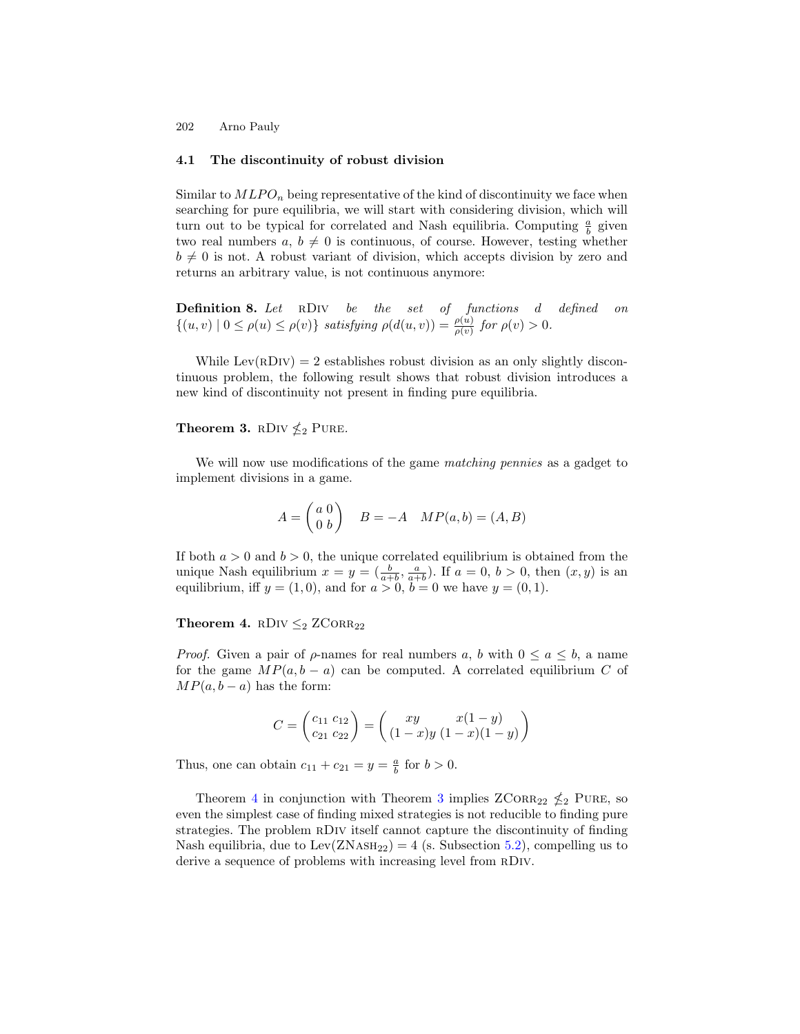#### 4.1 The discontinuity of robust division

Similar to  $MLPO_n$  being representative of the kind of discontinuity we face when searching for pure equilibria, we will start with considering division, which will turn out to be typical for correlated and Nash equilibria. Computing  $\frac{a}{b}$  given two real numbers  $a, b \neq 0$  is continuous, of course. However, testing whether  $b \neq 0$  is not. A robust variant of division, which accepts division by zero and returns an arbitrary value, is not continuous anymore:

Definition 8. Let rDiv be the set of functions d defined on  $\{(u, v) \mid 0 \leq \rho(u) \leq \rho(v)\}\$  satisfying  $\rho(d(u, v)) = \frac{\rho(u)}{\rho(v)}$  for  $\rho(v) > 0$ .

While Lev(RDIV) = 2 establishes robust division as an only slightly discontinuous problem, the following result shows that robust division introduces a new kind of discontinuity not present in finding pure equilibria.

# Theorem 3. RDIV  $\nleq_2$  PURE.

We will now use modifications of the game matching pennies as a gadget to implement divisions in a game.

$$
A = \begin{pmatrix} a & 0 \\ 0 & b \end{pmatrix} \quad B = -A \quad MP(a, b) = (A, B)
$$

If both  $a > 0$  and  $b > 0$ , the unique correlated equilibrium is obtained from the unique Nash equilibrium  $x = y = (\frac{b}{a+b}, \frac{a}{a+b})$ . If  $a = 0, b > 0$ , then  $(x, y)$  is an equilibrium, iff  $y = (1, 0)$ , and for  $a > 0$ ,  $b = 0$  we have  $y = (0, 1)$ .

#### Theorem 4. RDIV  $\leq_2$  ZCORR<sub>22</sub>

*Proof.* Given a pair of  $\rho$ -names for real numbers a, b with  $0 \le a \le b$ , a name for the game  $MP(a, b - a)$  can be computed. A correlated equilibrium C of  $MP(a, b - a)$  has the form:

$$
C = \begin{pmatrix} c_{11} & c_{12} \\ c_{21} & c_{22} \end{pmatrix} = \begin{pmatrix} xy & x(1-y) \\ (1-x)y & (1-x)(1-y) \end{pmatrix}
$$

Thus, one can obtain  $c_{11} + c_{21} = y = \frac{a}{b}$  for  $b > 0$ .

Theorem 4 in conjunction with Theorem 3 implies  $ZCORR_{22} \nleq_2 PURE$ , so even the simplest case of finding mixed strategies is not reducible to finding pure strategies. The problem rDiv itself cannot capture the discontinuity of finding Nash equilibria, due to  $\text{Lev}(\text{ZNASH}_{22}) = 4$  (s. Subsection 5.2), compelling us to derive a sequence of problems with increasing level from RDIV.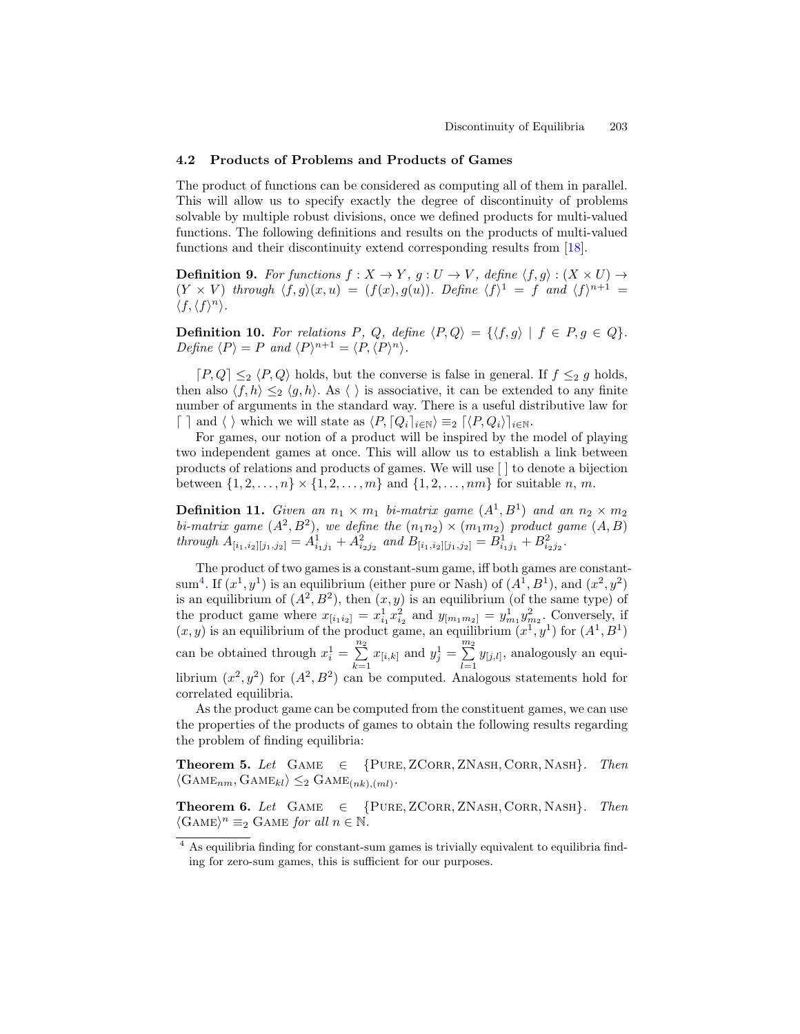#### 4.2 Products of Problems and Products of Games

The product of functions can be considered as computing all of them in parallel. This will allow us to specify exactly the degree of discontinuity of problems solvable by multiple robust divisions, once we defined products for multi-valued functions. The following definitions and results on the products of multi-valued functions and their discontinuity extend corresponding results from [18].

**Definition 9.** For functions  $f : X \to Y$ ,  $g : U \to V$ , define  $\langle f, g \rangle : (X \times U) \to$  $(Y \times V)$  through  $\langle f, g \rangle (x, u) = (f(x), g(u))$ . Define  $\langle f \rangle^1 = f$  and  $\langle f \rangle^{n+1} =$  $\langle f, \langle f \rangle^n \rangle$ .

**Definition 10.** For relations P, Q, define  $\langle P, Q \rangle = {\langle f, g \rangle | f \in P, g \in Q}.$ Define  $\langle P \rangle = P$  and  $\langle P \rangle^{n+1} = \langle P, \langle P \rangle^n \rangle$ .

 $[P,Q] \leq_2 \langle P,Q \rangle$  holds, but the converse is false in general. If  $f \leq_2 g$  holds, then also  $\langle f, h \rangle \leq_2 \langle g, h \rangle$ . As  $\langle h \rangle$  is associative, it can be extended to any finite number of arguments in the standard way. There is a useful distributive law for  $\lceil \cdot \rceil$  and  $\langle \cdot \rangle$  which we will state as  $\langle P, [Q_i]_{i \in \mathbb{N}} \rangle \equiv_2 [\langle P, Q_i \rangle]_{i \in \mathbb{N}}$ .

For games, our notion of a product will be inspired by the model of playing two independent games at once. This will allow us to establish a link between products of relations and products of games. We will use [ ] to denote a bijection between  $\{1, 2, ..., n\} \times \{1, 2, ..., m\}$  and  $\{1, 2, ..., nm\}$  for suitable n, m.

**Definition 11.** Given an  $n_1 \times m_1$  bi-matrix game  $(A^1, B^1)$  and an  $n_2 \times m_2$ bi-matrix game  $(A^2, B^2)$ , we define the  $(n_1n_2) \times (m_1m_2)$  product game  $(A, B)$ through  $A_{[i_1,i_2][j_1,j_2]} = A_{i_1j_1}^1 + A_{i_2j_2}^2$  and  $B_{[i_1,i_2][j_1,j_2]} = B_{i_1j_1}^1 + B_{i_2j_2}^2$ .

The product of two games is a constant-sum game, iff both games are constantsum<sup>4</sup>. If  $(x^1, y^1)$  is an equilibrium (either pure or Nash) of  $(A^1, B^1)$ , and  $(x^2, y^2)$ is an equilibrium of  $(A^2, B^2)$ , then  $(x, y)$  is an equilibrium (of the same type) of the product game where  $x_{[i_1 i_2]} = x_{i_1}^1 x_{i_2}^2$  and  $y_{[m_1 m_2]} = y_{m_1}^1 y_{m_2}^2$ . Conversely, if  $(x, y)$  is an equilibrium of the product game, an equilibrium  $(x<sup>1</sup>, y<sup>1</sup>)$  for  $(A<sup>1</sup>, B<sup>1</sup>)$ can be obtained through  $x_i^1 = \sum^{n_2}$  $\sum_{k=1}^{n_2} x_{[i,k]}$  and  $y_j^1 = \sum_{l=1}^{m_2}$  $\sum_{l=1} y_{[j,l]}$ , analogously an equilibrium  $(x^2, y^2)$  for  $(A^2, B^2)$  can be computed. Analogous statements hold for correlated equilibria.

As the product game can be computed from the constituent games, we can use the properties of the products of games to obtain the following results regarding the problem of finding equilibria:

Theorem 5. Let  $GAME \in \{PURE, ZCORR, ZNASH, CORR, NASH\}$ . Then  $\langle \text{GAME}_{nm}, \text{GAME}_{kl} \rangle \leq_2 \text{GAME}_{(nk),(ml)}.$ 

Theorem 6. Let  $GAME \in \{PURE, ZCORR, ZNASH, CORR, NASH\}$ . Then  $\langle$ GAME $\rangle$ <sup>n</sup>  $\equiv_2$  GAME for all  $n \in \mathbb{N}$ .

 $4$  As equilibria finding for constant-sum games is trivially equivalent to equilibria finding for zero-sum games, this is sufficient for our purposes.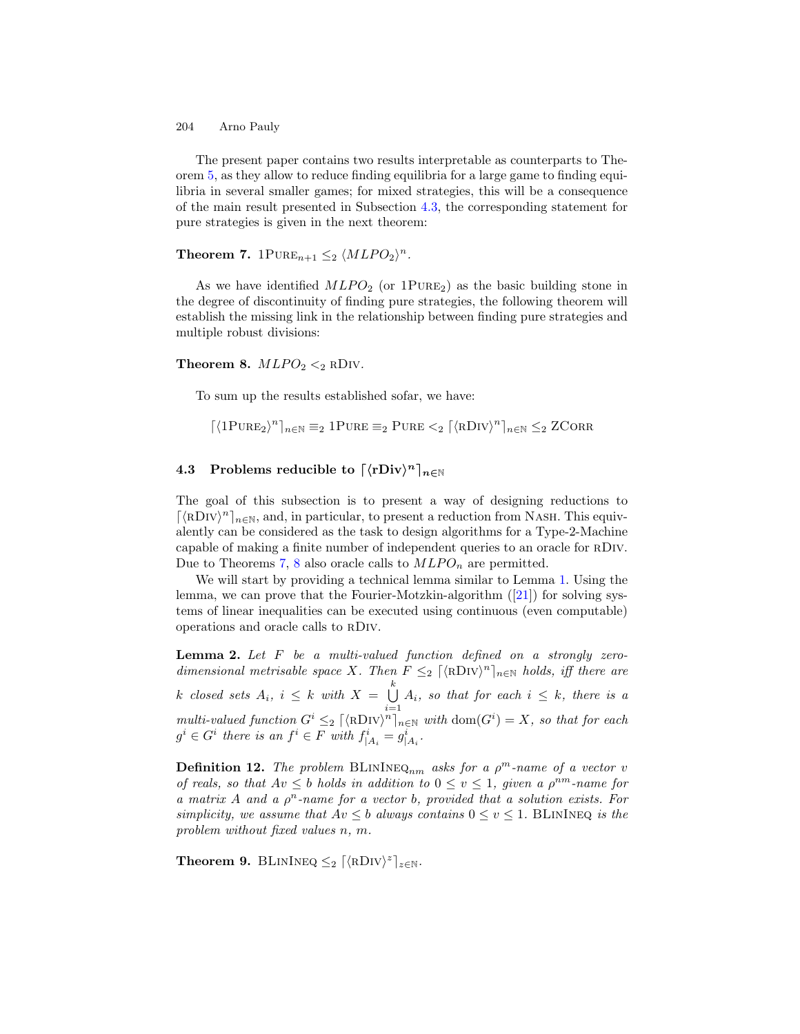The present paper contains two results interpretable as counterparts to Theorem 5, as they allow to reduce finding equilibria for a large game to finding equilibria in several smaller games; for mixed strategies, this will be a consequence of the main result presented in Subsection 4.3, the corresponding statement for pure strategies is given in the next theorem:

# **Theorem 7.** 1PURE<sub>n+1</sub>  $\leq$ <sub>2</sub>  $\langle MLPO_2 \rangle^n$ .

As we have identified  $MLPO<sub>2</sub>$  (or  $1PURE<sub>2</sub>$ ) as the basic building stone in the degree of discontinuity of finding pure strategies, the following theorem will establish the missing link in the relationship between finding pure strategies and multiple robust divisions:

#### **Theorem 8.**  $MLPO<sub>2</sub> <sub>2</sub>$  RDIV.

To sum up the results established sofar, we have:

 $\lceil \langle 1 \text{PURE}_2 \rangle^n \rceil_{n \in \mathbb{N}} \equiv_2 1 \text{PURE} \equiv_2 \text{PURE} \leq_2 \lceil \langle \text{RDIV} \rangle^n \rceil_{n \in \mathbb{N}} \leq_2 \text{ZCORR}$ 

## 4.3 Problems reducible to  $\lceil \langle \text{rDiv} \rangle^n \rceil_{n \in \mathbb{N}}$

The goal of this subsection is to present a way of designing reductions to  $\lceil \langle \text{RDIV} \rangle^n \rceil_{n \in \mathbb{N}}$ , and, in particular, to present a reduction from NASH. This equivalently can be considered as the task to design algorithms for a Type-2-Machine capable of making a finite number of independent queries to an oracle for rDiv. Due to Theorems 7, 8 also oracle calls to  $MLPO_n$  are permitted.

We will start by providing a technical lemma similar to Lemma 1. Using the lemma, we can prove that the Fourier-Motzkin-algorithm ([21]) for solving systems of linear inequalities can be executed using continuous (even computable) operations and oracle calls to rDiv.

**Lemma 2.** Let  $F$  be a multi-valued function defined on a strongly zerodimensional metrisable space X. Then  $F \leq_2 [\langle \text{RDIV} \rangle^n]_{n \in \mathbb{N}}$  holds, iff there are k closed sets  $A_i, i \leq k$  with  $X = \bigcup^k$  $\bigcup_{i=1} A_i$ , so that for each  $i \leq k$ , there is a multi-valued function  $G^i \leq_2 [\langle RDiv \rangle^n]_{n \in \mathbb{N}}$  with  $dom(G^i) = X$ , so that for each  $g^i \in G^i$  there is an  $f^i \in F$  with  $f^i_{|A_i} = g^i_{|A_i}$ .

**Definition 12.** The problem BLININEQ<sub>nm</sub> asks for a  $\rho^m$ -name of a vector v of reals, so that  $Av \leq b$  holds in addition to  $0 \leq v \leq 1$ , given a  $\rho^{nm}$ -name for a matrix A and a  $\rho^n$ -name for a vector b, provided that a solution exists. For simplicity, we assume that  $Av \leq b$  always contains  $0 \leq v \leq 1$ . BLININEQ is the problem without fixed values n, m.

Theorem 9. BLININEQ  $\leq_2 \lceil \langle \text{RDIV} \rangle^z \rceil_{z \in \mathbb{N}}$ .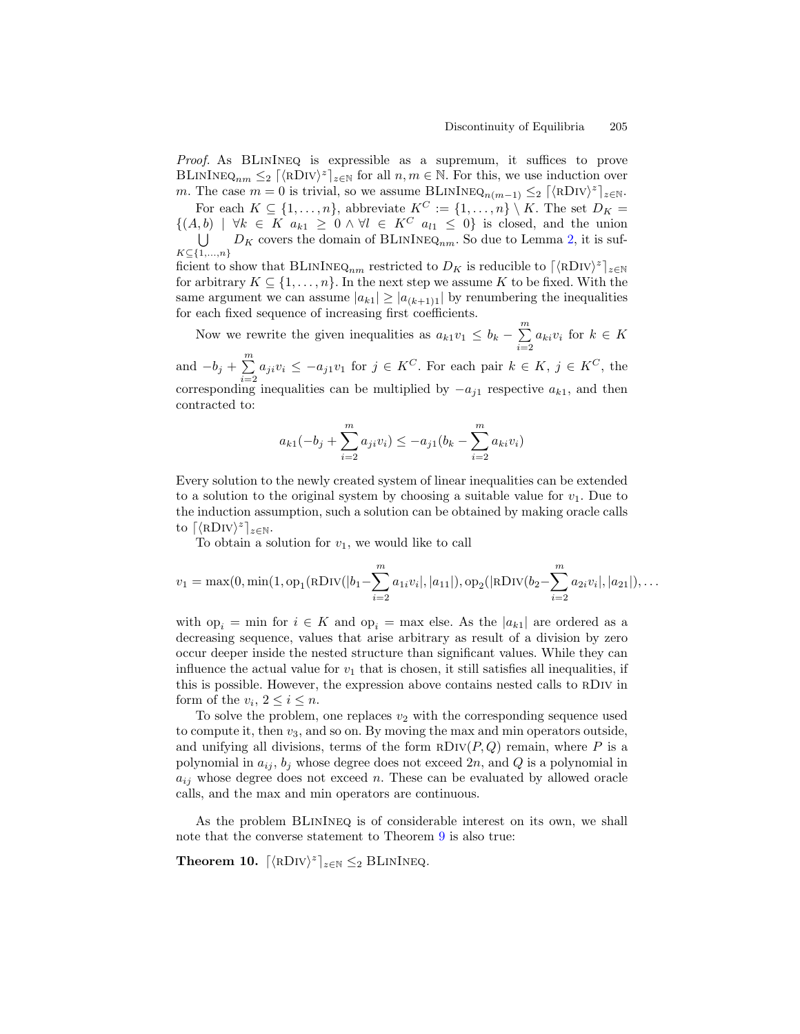Proof. As BLININEQ is expressible as a supremum, it suffices to prove BLININEQ<sub>nm</sub>  $\leq$   $\left[\langle \text{RDIV} \rangle^z \right]_{z \in \mathbb{N}}$  for all  $n, m \in \mathbb{N}$ . For this, we use induction over m. The case  $m = 0$  is trivial, so we assume BLININEQ<sub>n(m-1)</sub>  $\leq_2$   $\lceil \langle \text{RDIV} \rangle^z \rceil_{z \in \mathbb{N}}$ .

For each  $K \subseteq \{1, \ldots, n\}$ , abbreviate  $K^C := \{1, \ldots, n\} \setminus K$ . The set  $D_K =$  $\{(A, b) \mid \forall k \in K \ a_{k1} \geq 0 \land \forall l \in K^C \ a_{l1} \leq 0\}$  is closed, and the union U  $K \subseteq \{1,\ldots,n\}$  $D_K$  covers the domain of BLININEQ<sub>nm</sub>. So due to Lemma 2, it is sufficient to show that BLININEQ<sub>nm</sub> restricted to  $D_K$  is reducible to  $\lceil \langle RDV \rangle^z \rceil_{z \in \mathbb{N}}$ for arbitrary  $K \subseteq \{1, \ldots, n\}$ . In the next step we assume K to be fixed. With the same argument we can assume  $|a_{k1}| \geq |a_{(k+1)1}|$  by renumbering the inequalities for each fixed sequence of increasing first coefficients.

Now we rewrite the given inequalities as  $a_{k1}v_1 \leq b_k - \sum_{i=1}^m$  $\sum_{i=2} a_{ki} v_i$  for  $k \in K$ 

and  $-b_j + \sum^m$  $\sum_{i=2} a_{ji} v_i \leq -a_{j1} v_1$  for  $j \in K^C$ . For each pair  $k \in K$ ,  $j \in K^C$ , the corresponding inequalities can be multiplied by  $-a_{i1}$  respective  $a_{k1}$ , and then contracted to:

$$
a_{k1}(-b_j + \sum_{i=2}^{m} a_{ji}v_i) \le -a_{j1}(b_k - \sum_{i=2}^{m} a_{ki}v_i)
$$

Every solution to the newly created system of linear inequalities can be extended to a solution to the original system by choosing a suitable value for  $v_1$ . Due to the induction assumption, such a solution can be obtained by making oracle calls to  $\lceil \langle \text{RDIV} \rangle^z \rceil_{z \in \mathbb{N}}$ .

To obtain a solution for  $v_1$ , we would like to call

$$
v_1 = \max(0, \min(1, \text{op}_1(\text{RDIV}(|b_1 - \sum_{i=2}^{m} a_{1i}v_i), |a_{11}|), \text{op}_2(|\text{RDIV}(b_2 - \sum_{i=2}^{m} a_{2i}v_i|, |a_{21}|), \dots
$$

with op<sub>i</sub> = min for  $i \in K$  and op<sub>i</sub> = max else. As the  $|a_{k1}|$  are ordered as a decreasing sequence, values that arise arbitrary as result of a division by zero occur deeper inside the nested structure than significant values. While they can influence the actual value for  $v_1$  that is chosen, it still satisfies all inequalities, if this is possible. However, the expression above contains nested calls to rDiv in form of the  $v_i, 2 \leq i \leq n$ .

To solve the problem, one replaces  $v_2$  with the corresponding sequence used to compute it, then  $v_3$ , and so on. By moving the max and min operators outside, and unifying all divisions, terms of the form  $RDiv(P,Q)$  remain, where P is a polynomial in  $a_{ij}$ ,  $b_j$  whose degree does not exceed  $2n$ , and Q is a polynomial in  $a_{ij}$  whose degree does not exceed n. These can be evaluated by allowed oracle calls, and the max and min operators are continuous.

As the problem BLinIneq is of considerable interest on its own, we shall note that the converse statement to Theorem 9 is also true:

Theorem 10.  $\lceil \langle \text{RDIV} \rangle^z \rceil_{z \in \mathbb{N}} \leq_2 \text{BLININEQ}.$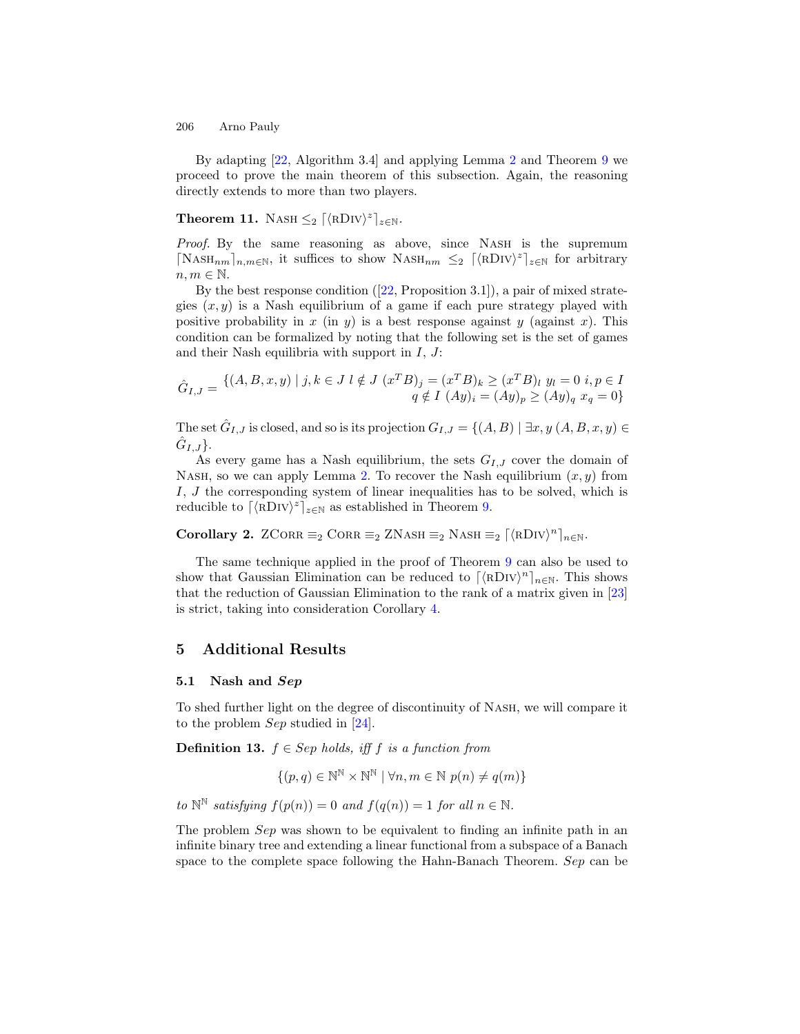By adapting [22, Algorithm 3.4] and applying Lemma 2 and Theorem 9 we proceed to prove the main theorem of this subsection. Again, the reasoning directly extends to more than two players.

# **Theorem 11.** NASH  $\leq_2$   $\lceil \langle \text{RDIV} \rangle^z \rceil_{z \in \mathbb{N}}$ .

Proof. By the same reasoning as above, since NASH is the supremum  $\lceil \text{NASH}_{nm} \rceil_{n,m \in \mathbb{N}}$ , it suffices to show  $\text{NASH}_{nm} \leq 2 \lceil \langle \text{RDIV} \rangle^2 \rceil_{z \in \mathbb{N}}$  for arbitrary  $n, m \in \mathbb{N}$ .

By the best response condition  $([22, Proposition 3.1])$ , a pair of mixed strategies  $(x, y)$  is a Nash equilibrium of a game if each pure strategy played with positive probability in x (in y) is a best response against y (against x). This condition can be formalized by noting that the following set is the set of games and their Nash equilibria with support in  $I, J$ :

$$
\hat{G}_{I,J} = \{ (A, B, x, y) \mid j, k \in J \mid \notin J \ (x^T B)_j = (x^T B)_k \ge (x^T B)_l \ y_l = 0 \ i, p \in I \}
$$
  

$$
q \notin I \ (Ay)_i = (Ay)_p \ge (Ay)_q \ x_q = 0 \}
$$

The set  $\hat{G}_{I,J}$  is closed, and so is its projection  $G_{I,J} = \{(A, B) \mid \exists x, y \ (A, B, x, y) \in$  $\hat{G}_{I,J}\}.$ 

As every game has a Nash equilibrium, the sets  $G_{I,J}$  cover the domain of NASH, so we can apply Lemma 2. To recover the Nash equilibrium  $(x, y)$  from I, J the corresponding system of linear inequalities has to be solved, which is reducible to  $\lceil \langle \text{RDIV} \rangle^z \rceil_{z \in \mathbb{N}}$  as established in Theorem 9.

Corollary 2. ZCORR  $\equiv_2$  CORR  $\equiv_2$  ZNASH  $\equiv_2$  NASH  $\equiv_2$   $\lceil \langle \text{RDIV} \rangle^n \rceil_{n \in \mathbb{N}}$ .

The same technique applied in the proof of Theorem 9 can also be used to show that Gaussian Elimination can be reduced to  $\lceil \langle \text{RDIV} \rangle^n \rceil_{n \in \mathbb{N}}$ . This shows that the reduction of Gaussian Elimination to the rank of a matrix given in [23] is strict, taking into consideration Corollary 4.

### 5 Additional Results

#### 5.1 Nash and Sep

To shed further light on the degree of discontinuity of Nash, we will compare it to the problem Sep studied in [24].

**Definition 13.**  $f \in Sep$  holds, iff f is a function from

$$
\{(p,q)\in\mathbb{N}^{\mathbb{N}}\times\mathbb{N}^{\mathbb{N}}\mid\forall n,m\in\mathbb{N}\,\,p(n)\neq q(m)\}
$$

to  $\mathbb{N}^{\mathbb{N}}$  satisfying  $f(p(n)) = 0$  and  $f(q(n)) = 1$  for all  $n \in \mathbb{N}$ .

The problem *Sep* was shown to be equivalent to finding an infinite path in an infinite binary tree and extending a linear functional from a subspace of a Banach space to the complete space following the Hahn-Banach Theorem. Sep can be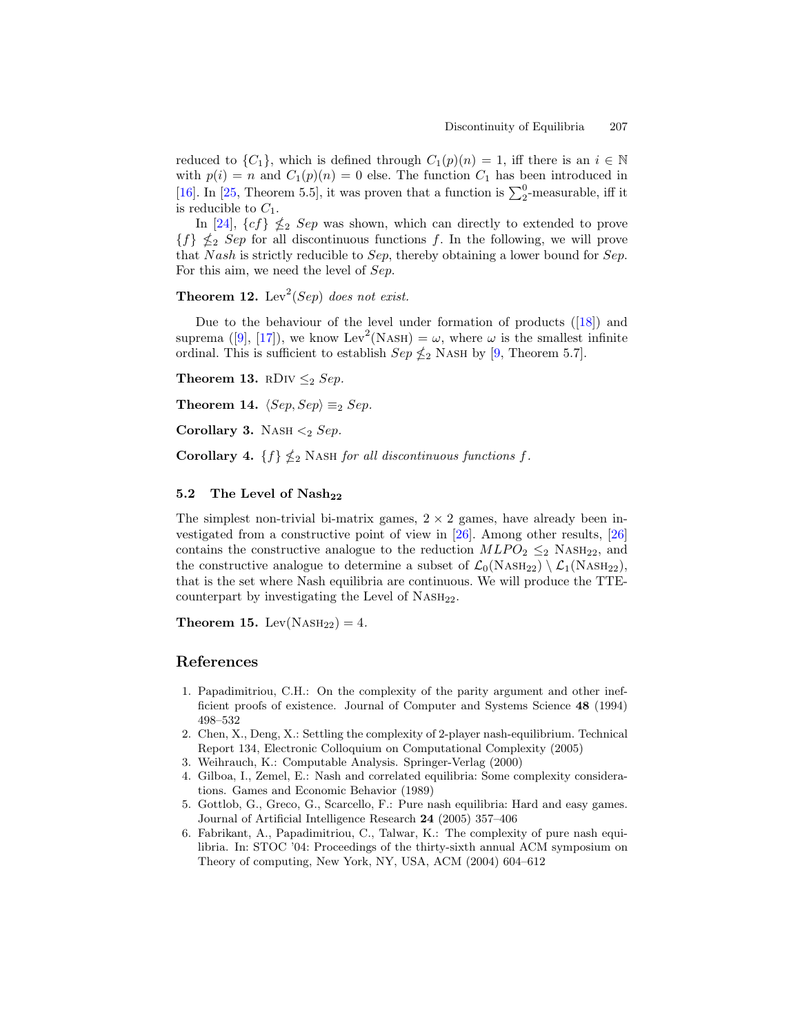reduced to  $\{C_1\}$ , which is defined through  $C_1(p)(n) = 1$ , iff there is an  $i \in \mathbb{N}$ with  $p(i) = n$  and  $C_1(p)(n) = 0$  else. The function  $C_1$  has been introduced in [16]. In [25, Theorem 5.5], it was proven that a function is  $\sum_{2}^{0}$ -measurable, iff it is reducible to  $C_1$ .

In [24],  $\{cf\} \nleq_2 Sep$  was shown, which can directly to extended to prove  ${f}$   $\leq$   $\leq$   $Sep$  for all discontinuous functions f. In the following, we will prove that Nash is strictly reducible to Sep, thereby obtaining a lower bound for Sep. For this aim, we need the level of Sep.

**Theorem 12.** Lev<sup>2</sup>(Sep) does not exist.

Due to the behaviour of the level under formation of products ([18]) and suprema ([9], [17]), we know Lev<sup>2</sup>(NASH) =  $\omega$ , where  $\omega$  is the smallest infinite ordinal. This is sufficient to establish  $Sep \nleq_2$  NASH by [9, Theorem 5.7].

Theorem 13. RDIV  $\leq_2$  Sep.

Theorem 14.  $\langle Sep, Sep\rangle \equiv_2 Sep$ .

Corollary 3. NASH  $\leq_2$  Sep.

Corollary 4.  $\{f\} \nleq_2$  NASH for all discontinuous functions f.

### 5.2 The Level of  $Nash_{22}$

The simplest non-trivial bi-matrix games,  $2 \times 2$  games, have already been investigated from a constructive point of view in [26]. Among other results, [26] contains the constructive analogue to the reduction  $MLPO_2 \leq_2$  NASH<sub>22</sub>, and the constructive analogue to determine a subset of  $\mathcal{L}_0(Nash_{22}) \setminus \mathcal{L}_1(Nash_{22}),$ that is the set where Nash equilibria are continuous. We will produce the TTEcounterpart by investigating the Level of  $N_{\text{ASH}_{22}}$ .

Theorem 15. Lev( $NASH_{22}$ ) = 4.

### References

- 1. Papadimitriou, C.H.: On the complexity of the parity argument and other inefficient proofs of existence. Journal of Computer and Systems Science 48 (1994) 498–532
- 2. Chen, X., Deng, X.: Settling the complexity of 2-player nash-equilibrium. Technical Report 134, Electronic Colloquium on Computational Complexity (2005)
- 3. Weihrauch, K.: Computable Analysis. Springer-Verlag (2000)
- 4. Gilboa, I., Zemel, E.: Nash and correlated equilibria: Some complexity considerations. Games and Economic Behavior (1989)
- 5. Gottlob, G., Greco, G., Scarcello, F.: Pure nash equilibria: Hard and easy games. Journal of Artificial Intelligence Research 24 (2005) 357–406
- 6. Fabrikant, A., Papadimitriou, C., Talwar, K.: The complexity of pure nash equilibria. In: STOC '04: Proceedings of the thirty-sixth annual ACM symposium on Theory of computing, New York, NY, USA, ACM (2004) 604–612